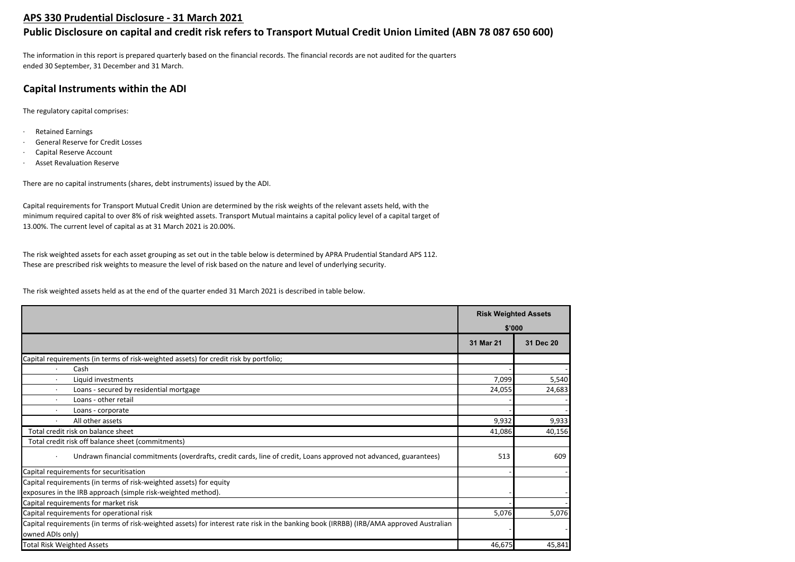## **APS 330 Prudential Disclosure - 31 March 2021**

# **Public Disclosure on capital and credit risk refers to Transport Mutual Credit Union Limited (ABN 78 087 650 600)**

The information in this report is prepared quarterly based on the financial records. The financial records are not audited for the quarters ended 30 September, 31 December and 31 March.

# **Capital Instruments within the ADI**

The regulatory capital comprises:

- · Retained Earnings
- General Reserve for Credit Losses
- Capital Reserve Account
- **Asset Revaluation Reserve**

There are no capital instruments (shares, debt instruments) issued by the ADI.

Capital requirements for Transport Mutual Credit Union are determined by the risk weights of the relevant assets held, with the minimum required capital to over 8% of risk weighted assets. Transport Mutual maintains a capital policy level of a capital target of 13.00%. The current level of capital as at 31 March 2021 is 20.00%.

The risk weighted assets for each asset grouping as set out in the table below is determined by APRA Prudential Standard APS 112. These are prescribed risk weights to measure the level of risk based on the nature and level of underlying security.

The risk weighted assets held as at the end of the quarter ended 31 March 2021 is described in table below.

|                                                                                                                                                             | <b>Risk Weighted Assets</b> |           |
|-------------------------------------------------------------------------------------------------------------------------------------------------------------|-----------------------------|-----------|
|                                                                                                                                                             | \$'000                      |           |
|                                                                                                                                                             | 31 Mar 21                   | 31 Dec 20 |
| Capital requirements (in terms of risk-weighted assets) for credit risk by portfolio;                                                                       |                             |           |
| Cash                                                                                                                                                        |                             |           |
| Liquid investments<br>$\cdot$                                                                                                                               | 7,099                       | 5,540     |
| Loans - secured by residential mortgage                                                                                                                     | 24,055                      | 24,683    |
| Loans - other retail                                                                                                                                        |                             |           |
| Loans - corporate                                                                                                                                           |                             |           |
| All other assets                                                                                                                                            | 9,932                       | 9,933     |
| Total credit risk on balance sheet                                                                                                                          | 41,086                      | 40,156    |
| Total credit risk off balance sheet (commitments)                                                                                                           |                             |           |
| Undrawn financial commitments (overdrafts, credit cards, line of credit, Loans approved not advanced, guarantees)                                           | 513                         | 609       |
| Capital requirements for securitisation                                                                                                                     |                             |           |
| Capital requirements (in terms of risk-weighted assets) for equity                                                                                          |                             |           |
| exposures in the IRB approach (simple risk-weighted method).                                                                                                |                             |           |
| Capital requirements for market risk                                                                                                                        |                             |           |
| Capital requirements for operational risk                                                                                                                   | 5,076                       | 5,076     |
| Capital requirements (in terms of risk-weighted assets) for interest rate risk in the banking book (IRRBB) (IRB/AMA approved Australian<br>owned ADIs only) |                             |           |
| <b>Total Risk Weighted Assets</b>                                                                                                                           | 46,675                      | 45,841    |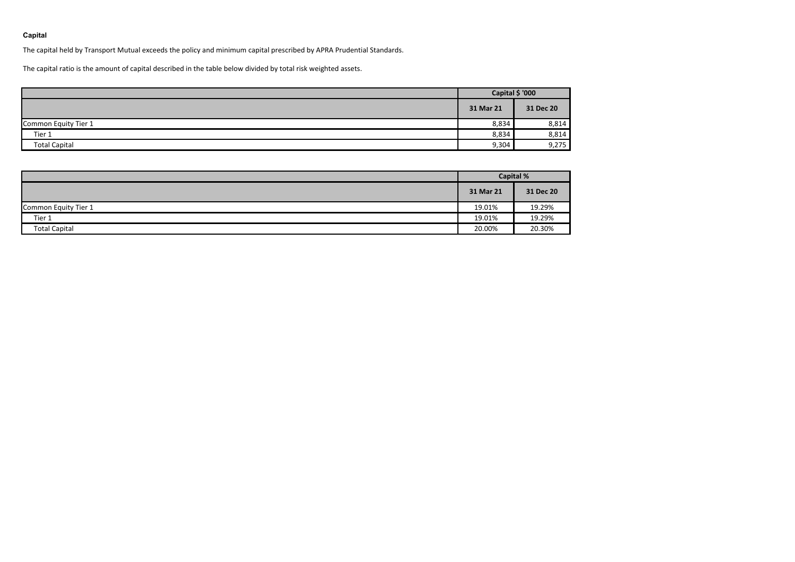## **Capital**

The capital held by Transport Mutual exceeds the policy and minimum capital prescribed by APRA Prudential Standards.

The capital ratio is the amount of capital described in the table below divided by total risk weighted assets.

|                      | Capital \$ '000 |           |  |
|----------------------|-----------------|-----------|--|
|                      | 31 Mar 21       | 31 Dec 20 |  |
| Common Equity Tier 1 | 8,834           | 8,814     |  |
| Tier 1               | 8,834           | 8,814     |  |
| <b>Total Capital</b> | 9,304           | 9,275     |  |

|                      | <b>Capital %</b> |           |  |
|----------------------|------------------|-----------|--|
|                      | 31 Mar 21        | 31 Dec 20 |  |
| Common Equity Tier 1 | 19.01%           | 19.29%    |  |
| Tier 1               | 19.01%           | 19.29%    |  |
| <b>Total Capital</b> | 20.00%           | 20.30%    |  |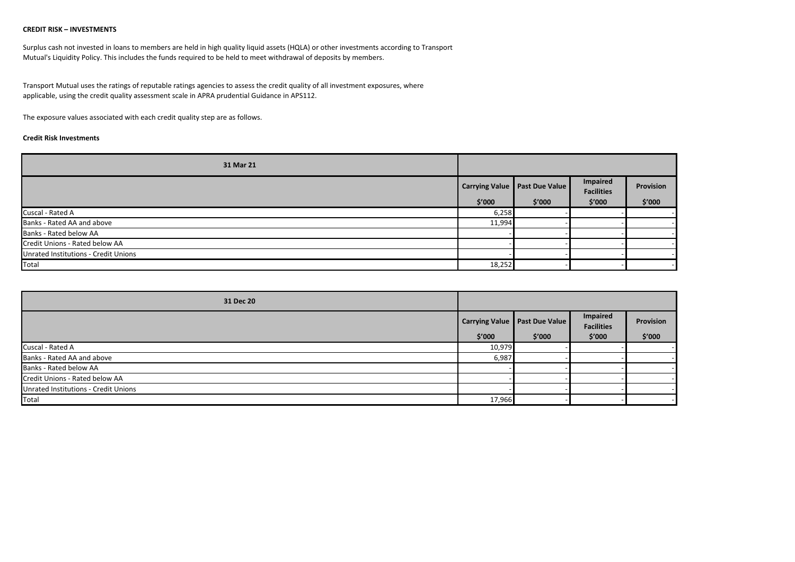## **CREDIT RISK – INVESTMENTS**

Surplus cash not invested in loans to members are held in high quality liquid assets (HQLA) or other investments according to Transport Mutual's Liquidity Policy. This includes the funds required to be held to meet withdrawal of deposits by members.

Transport Mutual uses the ratings of reputable ratings agencies to assess the credit quality of all investment exposures, where applicable, using the credit quality assessment scale in APRA prudential Guidance in APS112.

The exposure values associated with each credit quality step are as follows.

## **Credit Risk Investments**

| 31 Mar 21                            |        |                                             |                                         |                     |
|--------------------------------------|--------|---------------------------------------------|-----------------------------------------|---------------------|
|                                      | \$′000 | Carrying Value   Past Due Value  <br>\$′000 | Impaired<br><b>Facilities</b><br>\$′000 | Provision<br>\$′000 |
| Cuscal - Rated A                     | 6,258  |                                             |                                         |                     |
| Banks - Rated AA and above           | 11,994 |                                             |                                         |                     |
| Banks - Rated below AA               |        |                                             |                                         |                     |
| Credit Unions - Rated below AA       |        |                                             |                                         |                     |
| Unrated Institutions - Credit Unions |        |                                             |                                         |                     |
| Total                                | 18,252 |                                             |                                         |                     |

| 31 Dec 20                            |        |                                 |                               |           |
|--------------------------------------|--------|---------------------------------|-------------------------------|-----------|
|                                      |        | Carrying Value   Past Due Value | Impaired<br><b>Facilities</b> | Provision |
|                                      | \$′000 | \$'000                          | \$′000                        | \$′000    |
| Cuscal - Rated A                     | 10,979 |                                 |                               |           |
| Banks - Rated AA and above           | 6,987  |                                 |                               |           |
| Banks - Rated below AA               |        |                                 |                               |           |
| Credit Unions - Rated below AA       |        |                                 |                               |           |
| Unrated Institutions - Credit Unions |        |                                 |                               |           |
| Total                                | 17,966 |                                 |                               |           |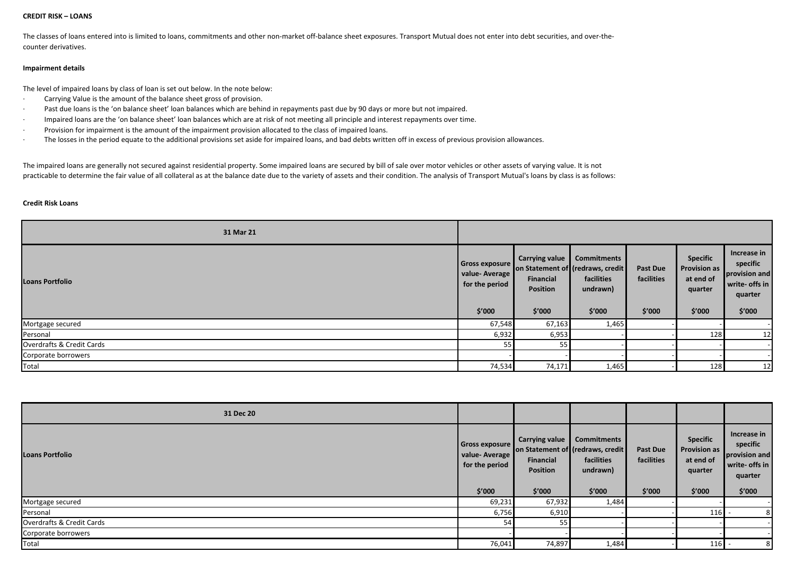#### **CREDIT RISK – LOANS**

The classes of loans entered into is limited to loans, commitments and other non-market off-balance sheet exposures. Transport Mutual does not enter into debt securities, and over-thecounter derivatives.

## **Impairment details**

The level of impaired loans by class of loan is set out below. In the note below:

- · Carrying Value is the amount of the balance sheet gross of provision.
- Past due loans is the 'on balance sheet' loan balances which are behind in repayments past due by 90 days or more but not impaired.
- · Impaired loans are the 'on balance sheet' loan balances which are at risk of not meeting all principle and interest repayments over time.
- · Provision for impairment is the amount of the impairment provision allocated to the class of impaired loans.
- · The losses in the period equate to the additional provisions set aside for impaired loans, and bad debts written off in excess of previous provision allowances.

The impaired loans are generally not secured against residential property. Some impaired loans are secured by bill of sale over motor vehicles or other assets of varying value. It is not practicable to determine the fair value of all collateral as at the balance date due to the variety of assets and their condition. The analysis of Transport Mutual's loans by class is as follows:

#### **Credit Risk Loans**

| 31 Mar 21                 |                                                                    |                                                                 |                                                                                             |                                         |                                                                          |                                                                                 |
|---------------------------|--------------------------------------------------------------------|-----------------------------------------------------------------|---------------------------------------------------------------------------------------------|-----------------------------------------|--------------------------------------------------------------------------|---------------------------------------------------------------------------------|
| <b>Loans Portfolio</b>    | <b>Gross exposure</b><br>value-Average<br>for the period<br>\$′000 | Carrying value<br><b>Financial</b><br><b>Position</b><br>\$′000 | <b>Commitments</b><br>on Statement of (redraws, credit)<br>facilities<br>undrawn)<br>\$′000 | <b>Past Due</b><br>facilities<br>\$′000 | <b>Specific</b><br><b>Provision as</b><br>at end of<br>quarter<br>\$'000 | Increase in<br>specific<br>provision and<br>write- offs in<br>quarter<br>\$'000 |
| Mortgage secured          | 67,548                                                             | 67,163                                                          | 1,465                                                                                       |                                         |                                                                          |                                                                                 |
| Personal                  | 6,932                                                              | 6,953                                                           |                                                                                             |                                         | 128                                                                      | 12                                                                              |
| Overdrafts & Credit Cards | 55                                                                 | 55                                                              |                                                                                             |                                         |                                                                          |                                                                                 |
| Corporate borrowers       |                                                                    |                                                                 |                                                                                             |                                         |                                                                          |                                                                                 |
| Total                     | 74,534                                                             | 74,171                                                          | 1,465                                                                                       |                                         | 128                                                                      | 12                                                                              |

| 31 Dec 20                 |                                                                      |                                                                                                      |                                                        |                                         |                                                                          |                                                                                 |
|---------------------------|----------------------------------------------------------------------|------------------------------------------------------------------------------------------------------|--------------------------------------------------------|-----------------------------------------|--------------------------------------------------------------------------|---------------------------------------------------------------------------------|
| <b>Loans Portfolio</b>    | <b>Gross exposure</b><br>value-Average  <br>for the period<br>\$′000 | <b>Carrying value</b><br>on Statement of (redraws, credit)<br>Financial<br><b>Position</b><br>\$'000 | <b>Commitments</b><br>facilities<br>undrawn)<br>\$'000 | <b>Past Due</b><br>facilities<br>\$′000 | <b>Specific</b><br><b>Provision as</b><br>at end of<br>quarter<br>\$′000 | Increase in<br>specific<br>provision and<br>write- offs in<br>quarter<br>\$′000 |
| Mortgage secured          | 69,231                                                               | 67,932                                                                                               | 1,484                                                  |                                         |                                                                          |                                                                                 |
| Personal                  | 6,756                                                                | 6,910                                                                                                |                                                        |                                         | 116                                                                      | 8                                                                               |
| Overdrafts & Credit Cards | 54                                                                   | 55                                                                                                   |                                                        |                                         |                                                                          |                                                                                 |
| Corporate borrowers       |                                                                      |                                                                                                      |                                                        |                                         |                                                                          |                                                                                 |
| Total                     | 76,041                                                               | 74,897                                                                                               | 1,484                                                  |                                         | 116                                                                      | 8                                                                               |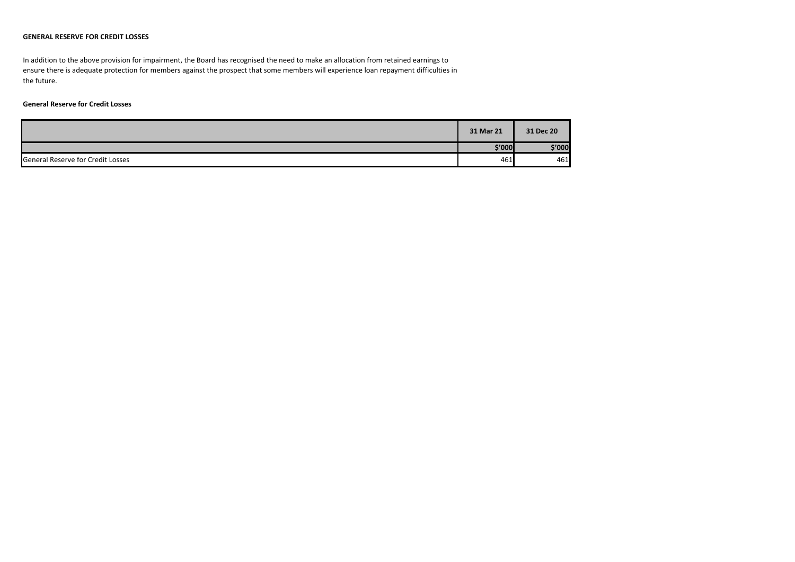## **GENERAL RESERVE FOR CREDIT LOSSES**

In addition to the above provision for impairment, the Board has recognised the need to make an allocation from retained earnings to ensure there is adequate protection for members against the prospect that some members will experience loan repayment difficulties in the future.

## **General Reserve for Credit Losses**

|                                          | 31 Mar 21 | 31 Dec 20 |
|------------------------------------------|-----------|-----------|
|                                          | \$′000]   | \$'000    |
| <b>General Reserve for Credit Losses</b> | 461       | 461       |